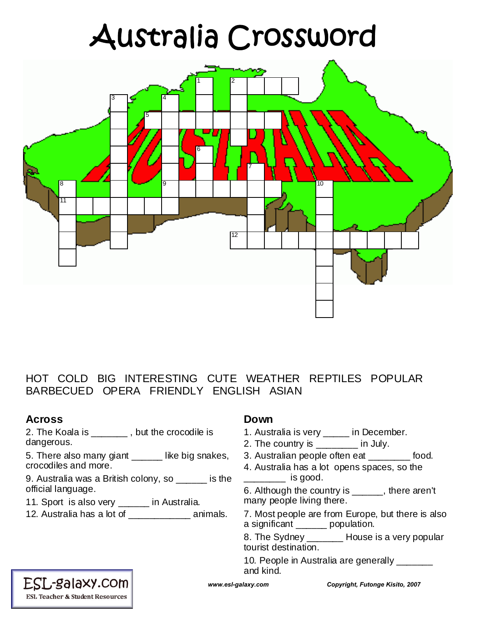# Australia Crossword



### HOT COLD BIG INTERESTING CUTE WEATHER REPTILES POPULAR BARBECUED OPERA FRIENDLY ENGLISH ASIAN

## **Across**

2. The Koala is \_\_\_\_\_\_\_ , but the crocodile is dangerous.

5. There also many giant like big snakes, crocodiles and more.

9. Australia was a British colony, so \_\_\_\_\_\_ is the official language.

11. Sport is also very \_\_\_\_\_\_ in Australia.

12. Australia has a lot of animals.

#### **Down**

- 1. Australia is very \_\_\_\_\_ in December.
- 2. The country is \_\_\_\_\_\_\_\_ in July.
- 3. Australian people often eat \_\_\_\_\_\_\_\_ food.
- 4. Australia has a lot opens spaces, so the  $\frac{1}{\sqrt{1-\frac{1}{\sqrt{1-\frac{1}{\sqrt{1-\frac{1}{\sqrt{1-\frac{1}{\sqrt{1-\frac{1}{\sqrt{1-\frac{1}{\sqrt{1-\frac{1}{\sqrt{1-\frac{1}{\sqrt{1-\frac{1}{\sqrt{1-\frac{1}{\sqrt{1-\frac{1}{\sqrt{1-\frac{1}{\sqrt{1-\frac{1}{\sqrt{1-\frac{1}{\sqrt{1-\frac{1}{\sqrt{1-\frac{1}{\sqrt{1-\frac{1}{\sqrt{1-\frac{1}{\sqrt{1-\frac{1}{\sqrt{1-\frac{1}{\sqrt{1-\frac{1}{\sqrt{1-\frac{1}{\sqrt{1-\frac{1}{\sqrt{1-\frac{1$

6. Although the country is \_\_\_\_\_\_, there aren't many people living there.

7. Most people are from Europe, but there is also a significant \_\_\_\_\_\_ population.

8. The Sydney \_\_\_\_\_\_\_ House is a very popular tourist destination.

10. People in Australia are generally \_\_\_\_\_\_\_ and kind.

### ESL-galaxy.com **ESL Teacher & Student Resources**